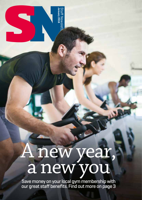A new year, a new you

**January 2016**

Staff Newslet<br>January 2016

Staff Newsletter

Save money on your local gym membership with our great staff benefits. Find out more on page 3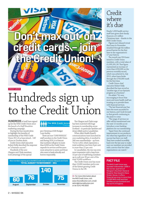# **Don't max out on credit cards – join the Credit Union!**

#### CREDIT UNION

### Hundreds sign up to the Credit Union

HUNDREDS of staff have signed up for the NHS Credit Union since the launch of a *Staff Newsletter* marketing campaign.

During the four-month drive to highlight the benefits of membership of the NHS Credit Union 351 of us have joined... 140 of you in October alone.

Credit Union chief executive Robert Kelly described the response as "a fantastic success".

Hundreds of the new Glasgow and Clyde members took advantage of the special

### The NHS Credit Union be sold of our fin

pre-Christmas £500 Budget Loan facility.

There are now 7,000 NHSGGC staff members in the Credit Union and during 2016, it is forecast that numbers will grow to more than 8,000 as the Credit Union expands its services and becomes more attractive to savers and those who want to bank ethically and borrow responsibly.

#### New members signing up to the NHS Credit Union in Greater Glasgow and Clyde **TOTAL AUGUST TO NOVEMBER – 351**



The Glasgow and Clyde surge has been matched with huge increases in membership across Scotland – in particular Ayrshire and Arran (A&A) and in Lanarkshire.

When A&A Health Board's communications team launched its own marketing drive, it resulted in 340 new memberships – up from 712 to 1,052, which represents a total workforce rise from 8 per cent to more than 12 per cent.

In Lanarkshire, the rise was even more impressive with a leap from 15 per cent of staff being members up to well over 20 per cent of the total 10,400 workforce.

The Credit Union now has more than 13,000 members and is one of the fastest-growing Credit Unions in the UK.

**>>** For more information about the NHS Credit Union, visit: www.nhscreditunion.com, email: admin@nhscreditunion.com or tel: 0141 445 0022

### Credit where it's due

Nearly 1,000 health service staff have given their family finances a £1 million Christmas treat – thanks to the NHS Credit Union.

Figures just released reveal that loans in November smashed through the million pound barrier for the first time in the organisation's 17-year history.

The month saw 924 loans issued to Credit Union members, with a total value of £1,005,261.58. That figure represented an increase of more than £250,000 on the previous monthly record, which was achieved in July 2015, when loans broke through the £750,000 mark for the first time.

Credit Union chief executive Robert Kelly described the loan record as "another sign of our fantastic progress as a business".

He added: "It's very encouraging to know that more and more health staff are trusting us to provide them with financial services.

"The last financial year has been the most successful in our history, and I look forward to that growth continuing in the years to come.

"The range of services we offer will be transformed over the next 12 months as we introduce a new banking platform for our membership.

"Apart from the continued improvement in our products, the other key ingredient of our success has been our staff. They have worked incredibly hard over the last year to make sure our members are provided with a service that few other organisations can match."

### **FACT FILE**

The NHS Credit Union was founded in November 1998 in the nurses' quarters of Glasgow's Southern General Hospital. Now based in Dava Street, Govan, it offers financial services to more than 13,000 NHS staff and their families across Scotland and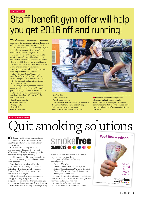#### STAFF DISCOUNT

### Staff benefit gym offer will help you get 2016 off and running!

WHAT more could anybody want after all the excesses of the festive season than a discounted offer to your local council leisure facilities?

For several years, NHSGGC has had a highly successful partnership affording staff great discounts to join the Glasgow Club.

But now, for the first time, we are able to unveil a tremendous staff benefit to join your local council leisure clubs right across Greater Glasgow and Clyde and even in neighbouring Lanarkshire in 2016. It's a brilliant scheme with a simple to join and pay for system.

All the details are available on our website featuring local rates and facilities.

Here's the deal: NHSGGC pay your annual membership directly to the local council area you wish to subscribe to. You will get a 12-month subscription with very attractive discounts.

You will sign a salary mandate and the payments will be spread over a 12-month period, making it discounted and interest free!

Here is a list of the local authorities who have signed up with us to offer the discounted rates:

- East Dunbartonshire
- East Renfrewshire
- Glasgow City
- Inverclyde
- North Lanarkshire



- Renfrewshire
- South Lanarkshire
- West Dunbartonshire

Please note if you are already a participant in the Corporate Membership of the Glasgow Club, you are unable to transfer the membership to another local authority.

**>>** For further information and prices on all the local authority discounts, visit: www.nhsggc.org.uk/working-with-us/staffcommunications/staff-benefits-services-travel/ glasgow-club/ or email: Gym.applications@ggc. scot.nhs.uk

#### STOP SMOKING SUPPORT

## Quit smoking solutions

IT'S January and the time for resolutions, and, thanks to our Smokefree team, staff have the opportunity to become healthier and wealthier.

With their support, anyone who quits smoking for just 28 days will be around £250 better off (based on a 20-a-day smoker at current average cigarette costs).

And if you stop for 28 days, you might find that you can keep it going, and realise even more benefits.

Your Smokefree advisor will design your unique stop smoking plan with you. This plan will include friendly support from highly skilled advisors at a time and place that suits you.

This also includes free nicotine replacement therapy or Champix. If you plan to use an e-cigarette to stop smoking, they can chat to you about that too, but can't provide this particular aid.

For a better idea of the help available, go along

### smokefree **SERVICES**

to one of our staff drop-in clinics and speak to one of our expert advisors.

Drop-ins are held on the following days and times:

- Tuesday, 11am-1pm, Support and Information Service, Main Atrium, Queen Elizabeth University Hospital
- Tuesday, 10am-11am, Level E, Boardroom, Inverclyde Royal Hospital.

If you work on another site or can't make these times, call 0141 232 0729 and we'll arrange to see you where and when it suits you.

You can also call the Smokeline on 0800 84 84 84 for information and support.

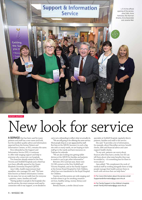

PATIENT SUPPORT

# New look for service

A SERVICE that has been used by many patients and staff has a new name and look, but the excellent quality advice and information expected from the former Patient and Information Centres, or PiCs, remains the same.

Now rebranded as the Support and Information Service (SIS), it continues to offer wide-ranging support and help to everyone who comes into our hospitals.

Two branches already existed in the New Victoria and Stobhill Hospitals and a third has now been officially opened at the Queen Elizabeth University Hospital (QEUH).

Jane Collin, health improvement lead equalities, who manages SIS, said: "We have been known as Patient Information Centres for six years, but we are really here for everyone – patients, carers, families and staff.

"Having spoken to people in the hospitals who use the service, the most common word used in connection with it was 'support', so we decided to carry out a rebranding to reflect what we actually do. "We are still going to be offering the same service. Most people drop in or are signposted by staff. But here at the QEUH, because it is such a big site with so many wards, we are hoping to have staff go to the wards and have resources on Trakcare for referrals.

"We are also looking into getting tablet devices at the QEUH for families and patients in wards to use to get other information."

Between 2012 and last year, there were 52,198 contacts at the New Stobhill and Victoria Hospitals, and at the Family Support at the former Royal Hospital for Sick Children, which has now transferred to the Royal Hospital for Children.

Queries and discussions are wide ranging and include where to go for smoking cessation services, healthy eating, money, literacy and carers support.

Brenda Shearer, a stroke clinical nurse

specialist at Stobhill Hospital, regularly directs patients, families and staff to the service.

She said: "It provides a lot of information, for example, about Macmillan services, benefit checks, debt and financial advice and carer support health checks.

"In my unit, patients can worry about finances after they have a stroke, but SIS can tell them about what state benefits they may be entitled to – it's something less for them to worry about."

Jane added: "We complement the work of medical staff by working alongside them to help people manage their health and put them in touch with services that can help them." 

**>>** For more information about the service: email: SupportandInformation@ggc.scot.nhs.uk 

**>>** For Family Support in the children's hospital, email: Family.Information@ggc.scot.nhs.uk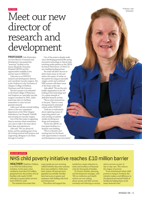### Meet our new director of research and development

PROFESSOR Julie Brittenden, our new director of research and development, has praised the "awesome" facilities at the Queen Elizabeth University Hospital (QEUH) and the opportunities available to her and her team in NHSGGC.

Julie joins us as NHSGGC research and development director and consultant vascular surgeon. She is also Professor in the University of Glasgow (College of Medical, Veterinary and Life Sciences).

The first woman to be admitted to the Royal College of Physicians and Surgeons as a specialist vascular surgery consultant in 2005, Julie's team's key role is to facilitate researchers to carry out and generate research.

Julie's post will also include holding clinics in the new outpatients' department at the West Glasgow Ambulatory Care Hospital, Yorkhill, and carrying out vascular surgery.

One of her first steps is organising drop-in sessions where researchers can come to talk to the team about their ideas and experiences.

Julie said: "We can always do better, and the satisfying part of my job is being involved with projects and supporting colleagues to see them through to fruition."

HEALTHIER Wealthier Children is an NHS-led child poverty initiative. In five years, it has resulted in more than £10 million going back into the pockets of local families with nearly 10,000 referrals to money advice services

The initiative has meant that

WELFARE SUPPORT

from NHSGGC staff.

One of the projects already under way is developing potential life-saving innovative technology in clinical trials involving stroke patients at the QEUH by Aurum Biosciences, of which we are a leading funding partner.

The trials will allow doctors to detect brain tissue at risk and reduce the impact of stroke on the patient by using an injectable oxygen carrier and combined MRI scanners will detect areas of the brain under risk.

Julie added: "We are the only health organisation in the UK looking at this technology and it is a great example of dedicated research activity.

"This is what attracted me to the post. There is a very strong research-orientated culture within NHSGGC.

"Staff are so enthusiastic about exploring means of improving patient care and carrying out patient studies involving new drugs and treatments.

"And at the QEUH, we have great facilities in a fantastic new building. "This is a dynamic and exciting time for the Board, with opportunities in research

many people are now receiving welfare benefits they were unaware they were entitled to. Debts have been written off and sanctions appealed successfully. Families have had access to grants and assistance with dealing with food

This advice and support has

and fuel poverty.

and development to get even better."

resulted in a major reduction in stress and avoidance of financial crisis for thousands of families.

Dr Noreen Shields, planning and development manager, said: "All our midwives and health visitors are now asking about money and debt worries routinely and referring to money advice services as part of day-to-day care. This reduces the stigma of poverty.

"In an environment where child poverty is rising in Scotland, this initiative makes a real difference to the physical and mental health of families by helping them avoid major financial crisis."

NHS child poverty initiative reaches £10 million barrier

Professor Julie Brittenden

NHSGGC SN ~ 5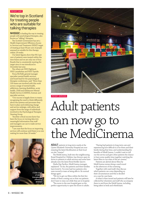### PATIENT CARE

### We're top in Scotland for treating people who are suitable for talking therapies

NHSGGC is leading the way in treating people with psychological therapies, also known as "talking" therapies.

The Scottish Government has set a Health Improvement Efficiency Access to Services and Treatment (HEAT) target of treating at least 90 per cent of people assessed as suitable for this therapy within 18 weeks.

Our latest figures show that 96.5 per cent of patients were treated within the time frame and we are only one of four Boards that is consistently meeting the target since it was introduced in December last year.

The others are NHS Highland, NHS Lanarkshire and NHS Tayside.

Fiona McNeill, general manager specialist mental health services, and board lead for the psychological therapies workstream, said: "More than 100 teams are involved with this work across a range of mental health, addictions, learning disabilities, acute health, Child and Adolescent Mental Health Service (CAMHS), forensic and specialist services.

"Our success is largely down to teams recognising the need to think differently about the systems and processes they have in place and embracing change and service redesign, with advice and support from the range of individuals involved in the Psychological Therapies Steering Group.

"Another critical success factor has been the focus on turning data into meaningful information that staff and managers can use to make service improvements.

"I am sure that the focus on improving services will continue until there is no one waiting for more than 18 weeks."





PATIENT SERVICES

### Adult patients can now go to the MediCinema

**ADULT** patients in long-term wards at the Queen Elizabeth University Hospital are now enjoying the latest blockbusters at their local on-site "cinema".

The MediCinema, built into the neighbouring Royal Hospital for Children, has thrown open its doors to patients in adult services and some have already seen the latest Bond thriller *Spectre*.

Sheila Hay Pacifico, MediCinema manager, explained: "So far, the patients and their families have loved it. I've even had two patients who were moved to tears at being able to 'do normal things again'.

"We try to get our films within the first few weeks of them coming out so that our patients don't have to miss out while they are in hospital.

"The move to the new hospital gave us the perfect opportunity to open the doors to adults.

"Having had patients in long-term care and experiencing how difficult it is for them and their family during that time, and understanding the benefits of MediCinema, I couldn't wait to roll out the service and give other patients the chance to have some quality time together watching the latest films in our state of the art cinema."

Patients are alerted about films by MediCinema nurses doing a ward round in the afternoon of the screening.

Together with ward staff, they discuss which patients can come depending on their circumstances and this is decided on a case-by-case basis.

A ticket is then issued and patients will later be collected by volunteers and staff who accompany them to and from the MediCinema, including being taken in beds and wheelchairs.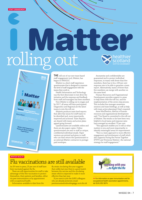# LICHT  $\mathbf{Z}$ rolling out

THE roll-out of our new team-based staff engagement tool, iMatter, has begun in NHSGGC.

iMatter is a short staff experience questionnaire that is designed to measure the level of staff engagement with the teams they work in.

Health Information and Technology was the first directorate to test drive the initiative and the response and feedback from staff and managers has been excellent.

Now iMatter is rolling out in stages and by 2017, all areas will have participated. Diagnostics and Regional are the latest teams to join the roll out.

iMatters produces team level reports that allow key issues for staff teams to be identified and, more importantly, improved and actioned. Team Reports are shared with teams and action plans agreed going forward.

Questionnaires are available online and there are also paper copies. Online questionnaires are sent to staff as unique, confidential individual emails. Paper versions are printed and given to staff, who can then return the questionnaire to an external iMatter contractor in postagepaid envelopes.

Anonymity and confidentiality are guaranteed and to protect individual responses, in teams with fewer than five members, there has to be a 100 per cent response rate to be able to generate a team report. Alternatively, teams of fewer than five members can merge with another on the same level.

Human Resources and Organisational Development provides support to areas to help them with the roll-out, and the implementation of the seven-step process. This includes line manager awareness sessions and team briefings, as well as help with team action planning if that's required.

Anne MacPherson, director of human resources and organisational development said: "Our Board is committed to the roll-out of iMatter. The results so far have been very helpful to local teams and response rates have averaged an excellent 73 per cent.

"This approach enables you to tell us what matters to you and more importantly, to identify meaningful areas for improvement.

"This is a team approach to more effective engagement and involvement of staff which also supports Facing the Future Together (FTFT) and 'Everyone Matters', the national strategy for staff engagement.'

### WINTER HEALTH

**2020 WORKFORCTER** 

### Flu vaccinations are still available

As *SN* went to press, 25 per cent of staff have been vaccinated against the flu.

nealthie<br><sup>:Cotland</sup>

Continuous Improverience<br><sup>Vhat is ver</sup> Improvement Model Staff <sub>Experience</sub><br>'s Impre

latter

A tool designed with staff in NHSScotland<br>individuals, teams and Health NSScotland to help<br>ind improve staff exports the boatds upde individuals, teams and Health In NHSScotland to help<br>and improve staff experience, and Health Boards understand

 **'Better Staff Experience Supports Better Patient Experience'** 

**What is iMatton** 

There are still opportunities for staff to take advantage of this free vaccination to protect themselves, their patients and families, either via peer immunisation or by appointment with occupational health.

Information available to date from the

flu strain circulating this year suggests that unlike last year there is a good match between the vaccine and the circulating strain which is expected to make it more effective than last year.

If you want to join the 9,892 colleagues who are already protected, email: peerimmunisationbooking@ggc.scot.nhs.uk



**>>** For information on peer immunisation and for occupational health vaccination appointments, tel: 0141 201 5674.